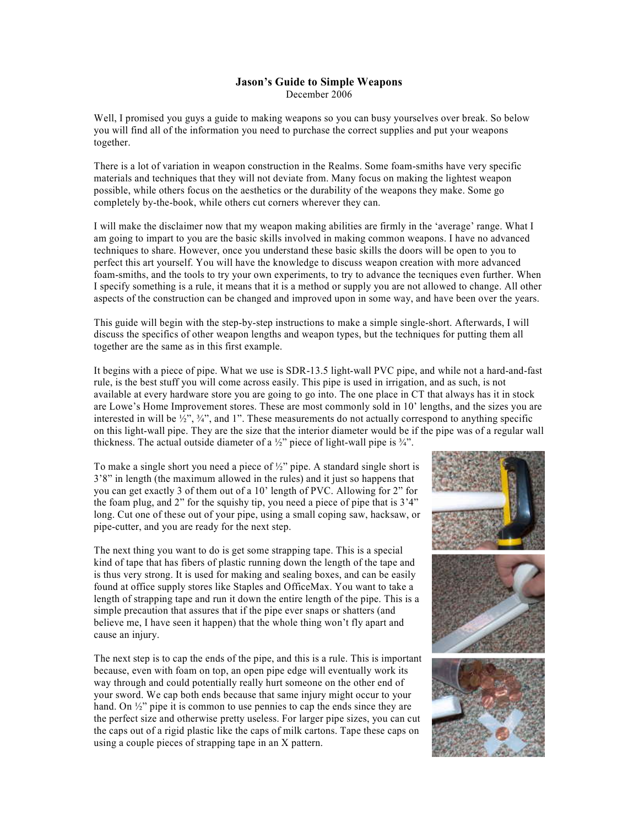## **Jason's Guide to Simple Weapons** December 2006

Well, I promised you guys a guide to making weapons so you can busy yourselves over break. So below you will find all of the information you need to purchase the correct supplies and put your weapons together.

There is a lot of variation in weapon construction in the Realms. Some foam-smiths have very specific materials and techniques that they will not deviate from. Many focus on making the lightest weapon possible, while others focus on the aesthetics or the durability of the weapons they make. Some go completely by-the-book, while others cut corners wherever they can.

I will make the disclaimer now that my weapon making abilities are firmly in the 'average' range. What I am going to impart to you are the basic skills involved in making common weapons. I have no advanced techniques to share. However, once you understand these basic skills the doors will be open to you to perfect this art yourself. You will have the knowledge to discuss weapon creation with more advanced foam-smiths, and the tools to try your own experiments, to try to advance the tecniques even further. When I specify something is a rule, it means that it is a method or supply you are not allowed to change. All other aspects of the construction can be changed and improved upon in some way, and have been over the years.

This guide will begin with the step-by-step instructions to make a simple single-short. Afterwards, I will discuss the specifics of other weapon lengths and weapon types, but the techniques for putting them all together are the same as in this first example.

It begins with a piece of pipe. What we use is SDR-13.5 light-wall PVC pipe, and while not a hard-and-fast rule, is the best stuff you will come across easily. This pipe is used in irrigation, and as such, is not available at every hardware store you are going to go into. The one place in CT that always has it in stock are Lowe's Home Improvement stores. These are most commonly sold in 10' lengths, and the sizes you are interested in will be  $\frac{1}{2}$ ,  $\frac{3}{4}$ , and 1". These measurements do not actually correspond to anything specific on this light-wall pipe. They are the size that the interior diameter would be if the pipe was of a regular wall thickness. The actual outside diameter of a  $\frac{1}{2}$  piece of light-wall pipe is  $\frac{3}{4}$ .

To make a single short you need a piece of ½" pipe. A standard single short is 3'8" in length (the maximum allowed in the rules) and it just so happens that you can get exactly 3 of them out of a 10' length of PVC. Allowing for 2" for the foam plug, and 2" for the squishy tip, you need a piece of pipe that is 3'4" long. Cut one of these out of your pipe, using a small coping saw, hacksaw, or pipe-cutter, and you are ready for the next step.

The next thing you want to do is get some strapping tape. This is a special kind of tape that has fibers of plastic running down the length of the tape and is thus very strong. It is used for making and sealing boxes, and can be easily found at office supply stores like Staples and OfficeMax. You want to take a length of strapping tape and run it down the entire length of the pipe. This is a simple precaution that assures that if the pipe ever snaps or shatters (and believe me, I have seen it happen) that the whole thing won't fly apart and cause an injury.

The next step is to cap the ends of the pipe, and this is a rule. This is important because, even with foam on top, an open pipe edge will eventually work its way through and could potentially really hurt someone on the other end of your sword. We cap both ends because that same injury might occur to your hand. On  $\frac{1}{2}$ " pipe it is common to use pennies to cap the ends since they are the perfect size and otherwise pretty useless. For larger pipe sizes, you can cut the caps out of a rigid plastic like the caps of milk cartons. Tape these caps on using a couple pieces of strapping tape in an X pattern.

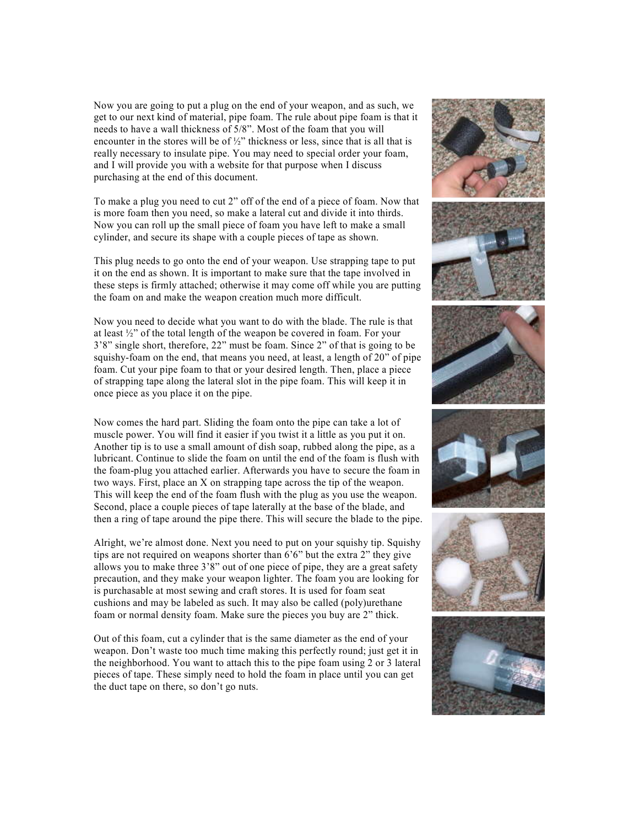Now you are going to put a plug on the end of your weapon, and as such, we get to our next kind of material, pipe foam. The rule about pipe foam is that it needs to have a wall thickness of 5/8". Most of the foam that you will encounter in the stores will be of  $\frac{1}{2}$ " thickness or less, since that is all that is really necessary to insulate pipe. You may need to special order your foam, and I will provide you with a website for that purpose when I discuss purchasing at the end of this document.

To make a plug you need to cut 2" off of the end of a piece of foam. Now that is more foam then you need, so make a lateral cut and divide it into thirds. Now you can roll up the small piece of foam you have left to make a small cylinder, and secure its shape with a couple pieces of tape as shown.

This plug needs to go onto the end of your weapon. Use strapping tape to put it on the end as shown. It is important to make sure that the tape involved in these steps is firmly attached; otherwise it may come off while you are putting the foam on and make the weapon creation much more difficult.

Now you need to decide what you want to do with the blade. The rule is that at least ½" of the total length of the weapon be covered in foam. For your 3'8" single short, therefore, 22" must be foam. Since 2" of that is going to be squishy-foam on the end, that means you need, at least, a length of  $20^{\circ}$  of pipe foam. Cut your pipe foam to that or your desired length. Then, place a piece of strapping tape along the lateral slot in the pipe foam. This will keep it in once piece as you place it on the pipe.

Now comes the hard part. Sliding the foam onto the pipe can take a lot of muscle power. You will find it easier if you twist it a little as you put it on. Another tip is to use a small amount of dish soap, rubbed along the pipe, as a lubricant. Continue to slide the foam on until the end of the foam is flush with the foam-plug you attached earlier. Afterwards you have to secure the foam in two ways. First, place an X on strapping tape across the tip of the weapon. This will keep the end of the foam flush with the plug as you use the weapon. Second, place a couple pieces of tape laterally at the base of the blade, and then a ring of tape around the pipe there. This will secure the blade to the pipe.

Alright, we're almost done. Next you need to put on your squishy tip. Squishy tips are not required on weapons shorter than 6'6" but the extra 2" they give allows you to make three 3'8" out of one piece of pipe, they are a great safety precaution, and they make your weapon lighter. The foam you are looking for is purchasable at most sewing and craft stores. It is used for foam seat cushions and may be labeled as such. It may also be called (poly)urethane foam or normal density foam. Make sure the pieces you buy are 2" thick.

Out of this foam, cut a cylinder that is the same diameter as the end of your weapon. Don't waste too much time making this perfectly round; just get it in the neighborhood. You want to attach this to the pipe foam using 2 or 3 lateral pieces of tape. These simply need to hold the foam in place until you can get the duct tape on there, so don't go nuts.

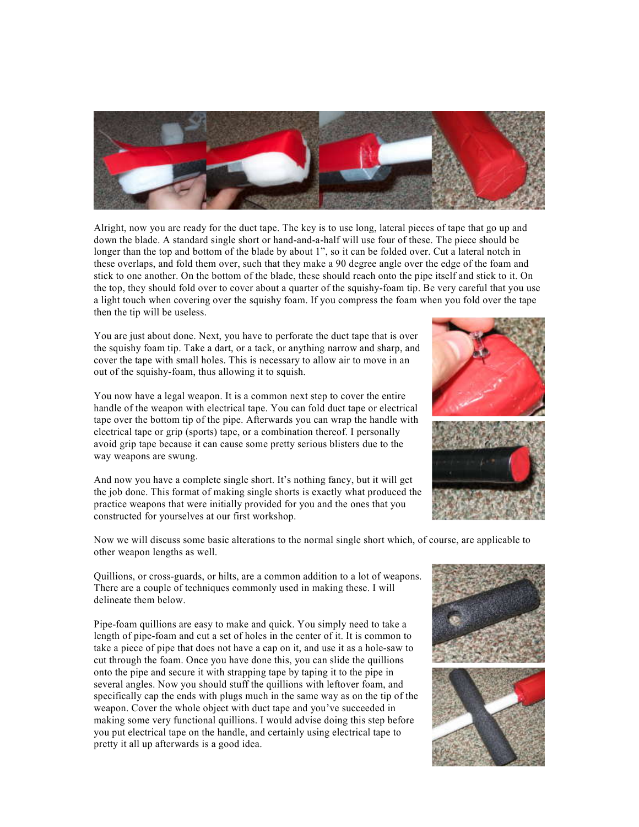

Alright, now you are ready for the duct tape. The key is to use long, lateral pieces of tape that go up and down the blade. A standard single short or hand-and-a-half will use four of these. The piece should be longer than the top and bottom of the blade by about 1", so it can be folded over. Cut a lateral notch in these overlaps, and fold them over, such that they make a 90 degree angle over the edge of the foam and stick to one another. On the bottom of the blade, these should reach onto the pipe itself and stick to it. On the top, they should fold over to cover about a quarter of the squishy-foam tip. Be very careful that you use a light touch when covering over the squishy foam. If you compress the foam when you fold over the tape then the tip will be useless.

You are just about done. Next, you have to perforate the duct tape that is over the squishy foam tip. Take a dart, or a tack, or anything narrow and sharp, and cover the tape with small holes. This is necessary to allow air to move in an out of the squishy-foam, thus allowing it to squish.

You now have a legal weapon. It is a common next step to cover the entire handle of the weapon with electrical tape. You can fold duct tape or electrical tape over the bottom tip of the pipe. Afterwards you can wrap the handle with electrical tape or grip (sports) tape, or a combination thereof. I personally avoid grip tape because it can cause some pretty serious blisters due to the way weapons are swung.

And now you have a complete single short. It's nothing fancy, but it will get the job done. This format of making single shorts is exactly what produced the practice weapons that were initially provided for you and the ones that you constructed for yourselves at our first workshop.

Now we will discuss some basic alterations to the normal single short which, of course, are applicable to other weapon lengths as well.

Quillions, or cross-guards, or hilts, are a common addition to a lot of weapons. There are a couple of techniques commonly used in making these. I will delineate them below.

Pipe-foam quillions are easy to make and quick. You simply need to take a length of pipe-foam and cut a set of holes in the center of it. It is common to take a piece of pipe that does not have a cap on it, and use it as a hole-saw to cut through the foam. Once you have done this, you can slide the quillions onto the pipe and secure it with strapping tape by taping it to the pipe in several angles. Now you should stuff the quillions with leftover foam, and specifically cap the ends with plugs much in the same way as on the tip of the weapon. Cover the whole object with duct tape and you've succeeded in making some very functional quillions. I would advise doing this step before you put electrical tape on the handle, and certainly using electrical tape to pretty it all up afterwards is a good idea.

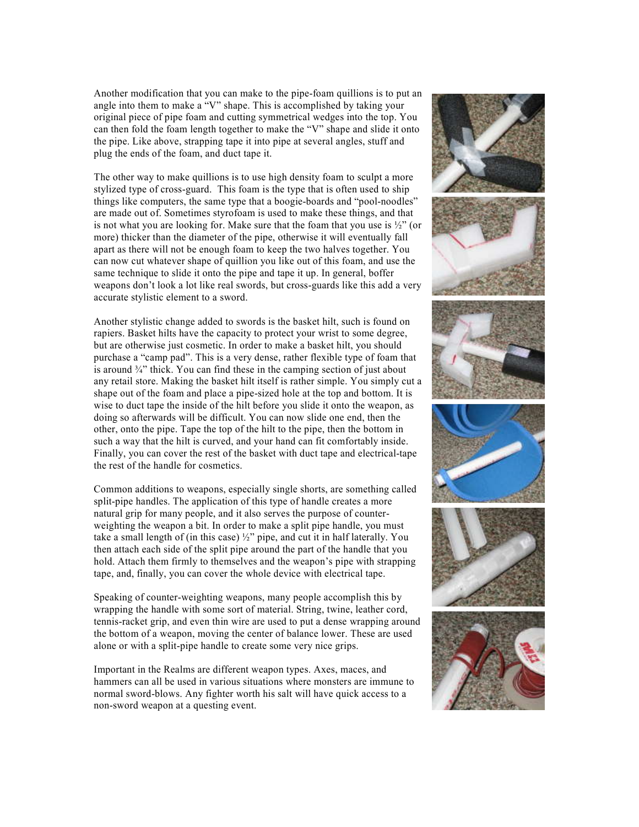Another modification that you can make to the pipe-foam quillions is to put an angle into them to make a "V" shape. This is accomplished by taking your original piece of pipe foam and cutting symmetrical wedges into the top. You can then fold the foam length together to make the "V" shape and slide it onto the pipe. Like above, strapping tape it into pipe at several angles, stuff and plug the ends of the foam, and duct tape it.

The other way to make quillions is to use high density foam to sculpt a more stylized type of cross-guard. This foam is the type that is often used to ship things like computers, the same type that a boogie-boards and "pool-noodles" are made out of. Sometimes styrofoam is used to make these things, and that is not what you are looking for. Make sure that the foam that you use is  $\frac{1}{2}$ " (or more) thicker than the diameter of the pipe, otherwise it will eventually fall apart as there will not be enough foam to keep the two halves together. You can now cut whatever shape of quillion you like out of this foam, and use the same technique to slide it onto the pipe and tape it up. In general, boffer weapons don't look a lot like real swords, but cross-guards like this add a very accurate stylistic element to a sword.

Another stylistic change added to swords is the basket hilt, such is found on rapiers. Basket hilts have the capacity to protect your wrist to some degree, but are otherwise just cosmetic. In order to make a basket hilt, you should purchase a "camp pad". This is a very dense, rather flexible type of foam that is around  $\frac{3}{4}$ " thick. You can find these in the camping section of just about any retail store. Making the basket hilt itself is rather simple. You simply cut a shape out of the foam and place a pipe-sized hole at the top and bottom. It is wise to duct tape the inside of the hilt before you slide it onto the weapon, as doing so afterwards will be difficult. You can now slide one end, then the other, onto the pipe. Tape the top of the hilt to the pipe, then the bottom in such a way that the hilt is curved, and your hand can fit comfortably inside. Finally, you can cover the rest of the basket with duct tape and electrical-tape the rest of the handle for cosmetics.

Common additions to weapons, especially single shorts, are something called split-pipe handles. The application of this type of handle creates a more natural grip for many people, and it also serves the purpose of counter weighting the weapon a bit. In order to make a split pipe handle, you must take a small length of (in this case)  $\frac{1}{2}$ " pipe, and cut it in half laterally. You then attach each side of the split pipe around the part of the handle that you hold. Attach them firmly to themselves and the weapon's pipe with strapping tape, and, finally, you can cover the whole device with electrical tape.

Speaking of counter-weighting weapons, many people accomplish this by wrapping the handle with some sort of material. String, twine, leather cord, tennis-racket grip, and even thin wire are used to put a dense wrapping around the bottom of a weapon, moving the center of balance lower. These are used alone or with a split-pipe handle to create some very nice grips.

Important in the Realms are different weapon types. Axes, maces, and hammers can all be used in various situations where monsters are immune to normal sword-blows. Any fighter worth his salt will have quick access to a non-sword weapon at a questing event.

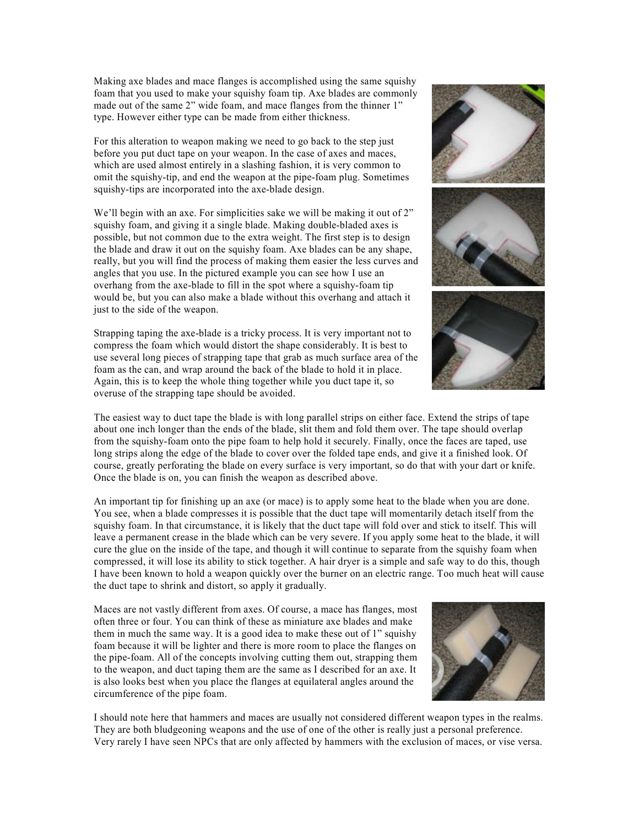Making axe blades and mace flanges is accomplished using the same squishy foam that you used to make your squishy foam tip. Axe blades are commonly made out of the same 2" wide foam, and mace flanges from the thinner 1" type. However either type can be made from either thickness.

For this alteration to weapon making we need to go back to the step just before you put duct tape on your weapon. In the case of axes and maces, which are used almost entirely in a slashing fashion, it is very common to omit the squishy-tip, and end the weapon at the pipe-foam plug. Sometimes squishy-tips are incorporated into the axe-blade design.

We'll begin with an axe. For simplicities sake we will be making it out of 2" squishy foam, and giving it a single blade. Making double-bladed axes is possible, but not common due to the extra weight. The first step is to design the blade and draw it out on the squishy foam. Axe blades can be any shape, really, but you will find the process of making them easier the less curves and angles that you use. In the pictured example you can see how I use an overhang from the axe-blade to fill in the spot where a squishy-foam tip would be, but you can also make a blade without this overhang and attach it just to the side of the weapon.

Strapping taping the axe-blade is a tricky process. It is very important not to compress the foam which would distort the shape considerably. It is best to use several long pieces of strapping tape that grab as much surface area of the foam as the can, and wrap around the back of the blade to hold it in place. Again, this is to keep the whole thing together while you duct tape it, so overuse of the strapping tape should be avoided.

The easiest way to duct tape the blade is with long parallel strips on either face. Extend the strips of tape about one inch longer than the ends of the blade, slit them and fold them over. The tape should overlap from the squishy-foam onto the pipe foam to help hold it securely. Finally, once the faces are taped, use long strips along the edge of the blade to cover over the folded tape ends, and give it a finished look. Of course, greatly perforating the blade on every surface is very important, so do that with your dart or knife. Once the blade is on, you can finish the weapon as described above.

An important tip for finishing up an axe (or mace) is to apply some heat to the blade when you are done. You see, when a blade compresses it is possible that the duct tape will momentarily detach itself from the squishy foam. In that circumstance, it is likely that the duct tape will fold over and stick to itself. This will leave a permanent crease in the blade which can be very severe. If you apply some heat to the blade, it will cure the glue on the inside of the tape, and though it will continue to separate from the squishy foam when compressed, it will lose its ability to stick together. A hair dryer is a simple and safe way to do this, though I have been known to hold a weapon quickly over the burner on an electric range. Too much heat will cause the duct tape to shrink and distort, so apply it gradually.

Maces are not vastly different from axes. Of course, a mace has flanges, most often three or four. You can think of these as miniature axe blades and make them in much the same way. It is a good idea to make these out of 1" squishy foam because it will be lighter and there is more room to place the flanges on the pipe-foam. All of the concepts involving cutting them out, strapping them to the weapon, and duct taping them are the same as I described for an axe. It is also looks best when you place the flanges at equilateral angles around the circumference of the pipe foam.

I should note here that hammers and maces are usually not considered different weapon types in the realms. They are both bludgeoning weapons and the use of one of the other is really just a personal preference. Very rarely I have seen NPCs that are only affected by hammers with the exclusion of maces, or vise versa.





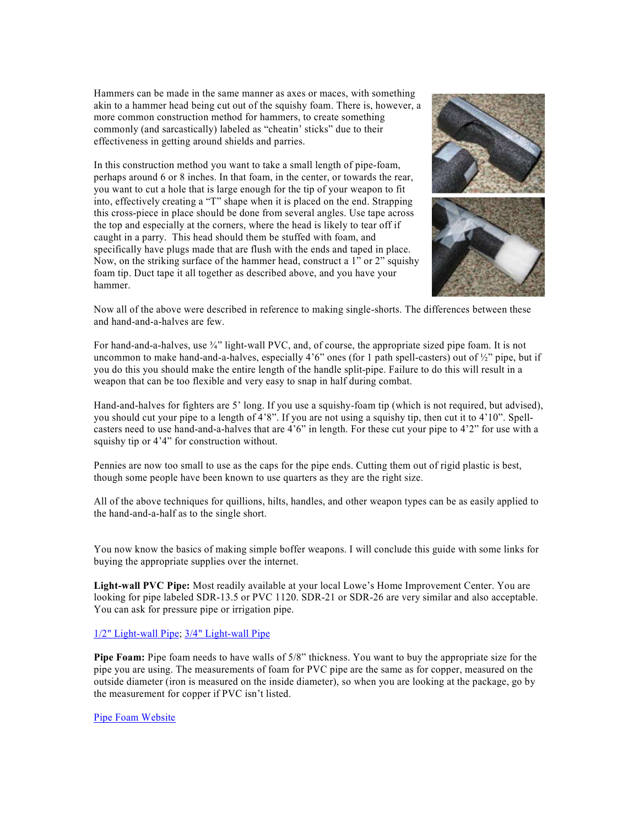Hammers can be made in the same manner as axes or maces, with something akin to a hammer head being cut out of the squishy foam. There is, however, a more common construction method for hammers, to create something commonly (and sarcastically) labeled as "cheatin' sticks" due to their effectiveness in getting around shields and parries.

In this construction method you want to take a small length of pipe-foam, perhaps around 6 or 8 inches. In that foam, in the center, or towards the rear, you want to cut a hole that is large enough for the tip of your weapon to fit into, effectively creating a "T" shape when it is placed on the end. Strapping this cross-piece in place should be done from several angles. Use tape across the top and especially at the corners, where the head is likely to tear off if caught in a parry. This head should them be stuffed with foam, and specifically have plugs made that are flush with the ends and taped in place. Now, on the striking surface of the hammer head, construct a 1" or 2" squishy foam tip. Duct tape it all together as described above, and you have your hammer.



Now all of the above were described in reference to making single-shorts. The differences between these and hand-and-a-halves are few.

For hand-and-a-halves, use  $\frac{3}{4}$ " light-wall PVC, and, of course, the appropriate sized pipe foam. It is not uncommon to make hand-and-a-halves, especially  $4'6''$  ones (for 1 path spell-casters) out of  $\frac{1}{2}$ " pipe, but if you do this you should make the entire length of the handle split-pipe. Failure to do this will result in a weapon that can be too flexible and very easy to snap in half during combat.

Hand-and-halves for fighters are 5' long. If you use a squishy-foam tip (which is not required, but advised), you should cut your pipe to a length of 4'8". If you are not using a squishy tip, then cut it to 4'10". Spell casters need to use hand-and-a-halves that are 4'6" in length. For these cut your pipe to 4'2" for use with a squishy tip or 4'4" for construction without.

Pennies are now too small to use as the caps for the pipe ends. Cutting them out of rigid plastic is best, though some people have been known to use quarters as they are the right size.

All of the above techniques for quillions, hilts, handles, and other weapon types can be as easily applied to the hand-and-a-half as to the single short.

You now know the basics of making simple boffer weapons. I will conclude this guide with some links for buying the appropriate supplies over the internet.

**Light-wall PVC Pipe:** Most readily available at your local Lowe's Home Improvement Center. You are looking for pipe labeled SDR-13.5 or PVC 1120. SDR-21 or SDR-26 are very similar and also acceptable. You can ask for pressure pipe or irrigation pipe.

### [1/2" Light-wall Pipe](http://www.lowes.com/lowes/lkn?action=productDetail&productId=23987-150-23987&lpage=none)[; 3/4" Light-wall Pipe](http://www.lowes.com/lowes/lkn?action=productDetail&productId=23990-150-23990&lpage=none)

**Pipe Foam:** Pipe foam needs to have walls of 5/8" thickness. You want to buy the appropriate size for the pipe you are using. The measurements of foam for PVC pipe are the same as for copper, measured on the outside diameter (iron is measured on the inside diameter), so when you are looking at the package, go by the measurement for copper if PVC isn't listed.

### [Pipe Foam Website](http://www.hectorshardware.biz/shop/product.asp?mscssid=QN8MKHVRHSB78PSRL9C42PLM0FU10602&mbrid=1875H&custid=TEMP&dept_id=902&sku=436193)